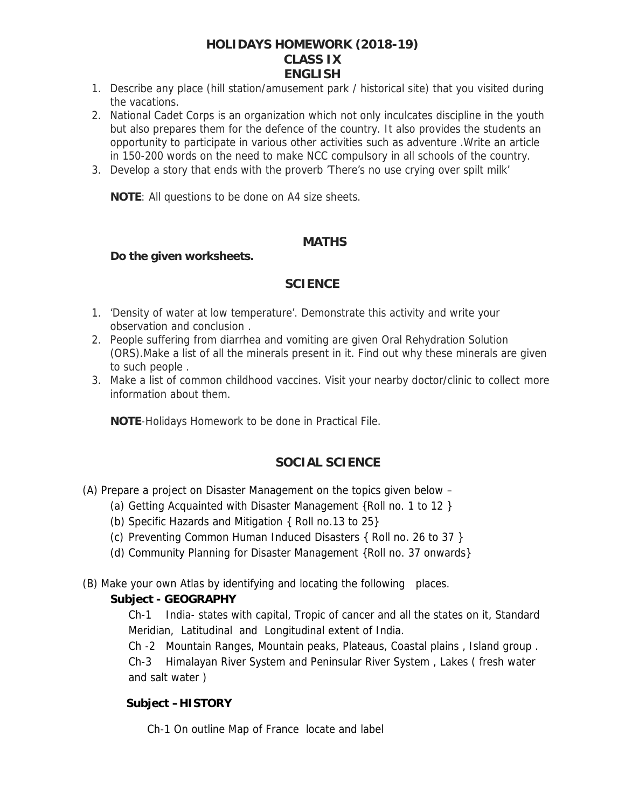#### **HOLIDAYS HOMEWORK (2018-19) CLASS IX ENGLISH**

- 1. Describe any place (hill station/amusement park / historical site) that you visited during the vacations.
- 2. National Cadet Corps is an organization which not only inculcates discipline in the youth but also prepares them for the defence of the country. It also provides the students an opportunity to participate in various other activities such as adventure .Write an article in 150-200 words on the need to make NCC compulsory in all schools of the country.
- 3. Develop a story that ends with the proverb 'There's no use crying over spilt milk'

**NOTE**: All questions to be done on A4 size sheets.

#### **MATHS**

**Do the given worksheets.**

#### **SCIENCE**

- 1. 'Density of water at low temperature'. Demonstrate this activity and write your observation and conclusion .
- 2. People suffering from diarrhea and vomiting are given Oral Rehydration Solution (ORS).Make a list of all the minerals present in it. Find out why these minerals are given to such people .
- 3. Make a list of common childhood vaccines. Visit your nearby doctor/clinic to collect more information about them.

**NOTE**-Holidays Homework to be done in Practical File.

#### **SOCIAL SCIENCE**

- (A) Prepare a project on Disaster Management on the topics given below
	- (a) Getting Acquainted with Disaster Management {Roll no. 1 to 12 }
	- (b) Specific Hazards and Mitigation { Roll no.13 to 25}
	- (c) Preventing Common Human Induced Disasters { Roll no. 26 to 37 }
	- (d) Community Planning for Disaster Management {Roll no. 37 onwards}

(B) Make your own Atlas by identifying and locating the following places.

**Subject - GEOGRAPHY**

Ch-1 India- states with capital, Tropic of cancer and all the states on it, Standard Meridian, Latitudinal and Longitudinal extent of India.

Ch -2 Mountain Ranges, Mountain peaks, Plateaus, Coastal plains , Island group . Ch-3 Himalayan River System and Peninsular River System , Lakes ( fresh water and salt water )

**Subject –HISTORY**

Ch-1 On outline Map of France locate and label